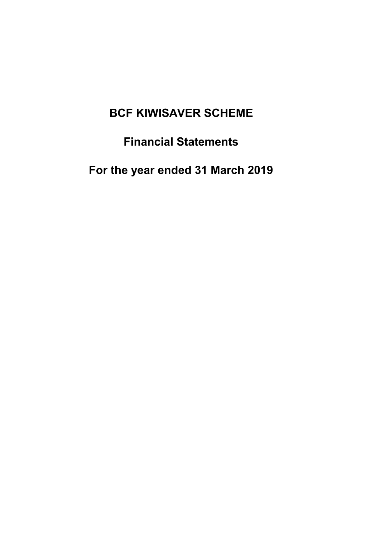# Financial Statements

For the year ended 31 March 2019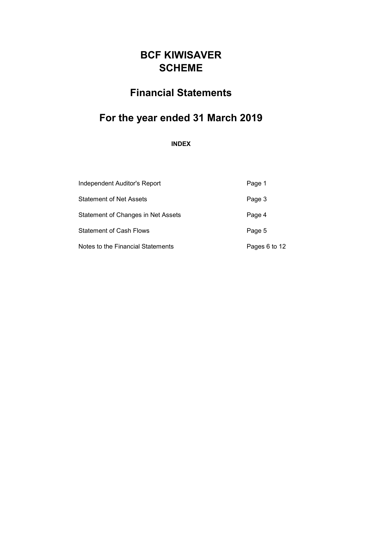# Financial Statements

# For the year ended 31 March 2019

INDEX

| Independent Auditor's Report       | Page 1        |
|------------------------------------|---------------|
| <b>Statement of Net Assets</b>     | Page 3        |
| Statement of Changes in Net Assets | Page 4        |
| <b>Statement of Cash Flows</b>     | Page 5        |
| Notes to the Financial Statements  | Pages 6 to 12 |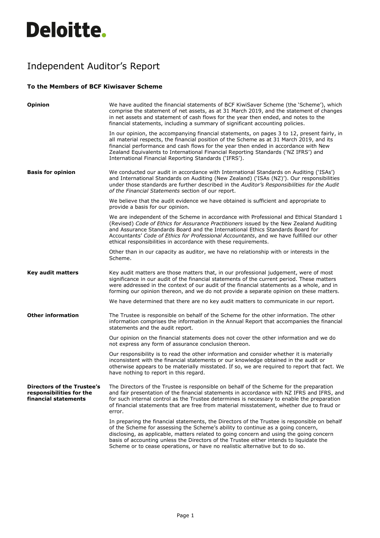# **Deloitte.**

# Independent Auditor's Report

## **To the Members of BCF Kiwisaver Scheme**

| <b>Opinion</b>                                                                 | We have audited the financial statements of BCF KiwiSaver Scheme (the 'Scheme'), which<br>comprise the statement of net assets, as at 31 March 2019, and the statement of changes<br>in net assets and statement of cash flows for the year then ended, and notes to the<br>financial statements, including a summary of significant accounting policies.                                                                                               |
|--------------------------------------------------------------------------------|---------------------------------------------------------------------------------------------------------------------------------------------------------------------------------------------------------------------------------------------------------------------------------------------------------------------------------------------------------------------------------------------------------------------------------------------------------|
|                                                                                | In our opinion, the accompanying financial statements, on pages 3 to 12, present fairly, in<br>all material respects, the financial position of the Scheme as at 31 March 2019, and its<br>financial performance and cash flows for the year then ended in accordance with New<br>Zealand Equivalents to International Financial Reporting Standards ('NZ IFRS') and<br>International Financial Reporting Standards ('IFRS').                           |
| <b>Basis for opinion</b>                                                       | We conducted our audit in accordance with International Standards on Auditing ('ISAs')<br>and International Standards on Auditing (New Zealand) ('ISAs (NZ)'). Our responsibilities<br>under those standards are further described in the Auditor's Responsibilities for the Audit<br>of the Financial Statements section of our report.                                                                                                                |
|                                                                                | We believe that the audit evidence we have obtained is sufficient and appropriate to<br>provide a basis for our opinion.                                                                                                                                                                                                                                                                                                                                |
|                                                                                | We are independent of the Scheme in accordance with Professional and Ethical Standard 1<br>(Revised) Code of Ethics for Assurance Practitioners issued by the New Zealand Auditing<br>and Assurance Standards Board and the International Ethics Standards Board for<br>Accountants' Code of Ethics for Professional Accountants, and we have fulfilled our other<br>ethical responsibilities in accordance with these requirements.                    |
|                                                                                | Other than in our capacity as auditor, we have no relationship with or interests in the<br>Scheme.                                                                                                                                                                                                                                                                                                                                                      |
| <b>Key audit matters</b>                                                       | Key audit matters are those matters that, in our professional judgement, were of most<br>significance in our audit of the financial statements of the current period. These matters<br>were addressed in the context of our audit of the financial statements as a whole, and in<br>forming our opinion thereon, and we do not provide a separate opinion on these matters.                                                                             |
|                                                                                | We have determined that there are no key audit matters to communicate in our report.                                                                                                                                                                                                                                                                                                                                                                    |
| <b>Other information</b>                                                       | The Trustee is responsible on behalf of the Scheme for the other information. The other<br>information comprises the information in the Annual Report that accompanies the financial<br>statements and the audit report.                                                                                                                                                                                                                                |
|                                                                                | Our opinion on the financial statements does not cover the other information and we do<br>not express any form of assurance conclusion thereon.                                                                                                                                                                                                                                                                                                         |
|                                                                                | Our responsibility is to read the other information and consider whether it is materially<br>inconsistent with the financial statements or our knowledge obtained in the audit or<br>otherwise appears to be materially misstated. If so, we are required to report that fact. We<br>have nothing to report in this regard.                                                                                                                             |
| Directors of the Trustee's<br>responsibilities for the<br>financial statements | The Directors of the Trustee is responsible on behalf of the Scheme for the preparation<br>and fair presentation of the financial statements in accordance with NZ IFRS and IFRS, and<br>for such internal control as the Trustee determines is necessary to enable the preparation<br>of financial statements that are free from material misstatement, whether due to fraud or<br>error.                                                              |
|                                                                                | In preparing the financial statements, the Directors of the Trustee is responsible on behalf<br>of the Scheme for assessing the Scheme's ability to continue as a going concern,<br>disclosing, as applicable, matters related to going concern and using the going concern<br>basis of accounting unless the Directors of the Trustee either intends to liquidate the<br>Scheme or to cease operations, or have no realistic alternative but to do so. |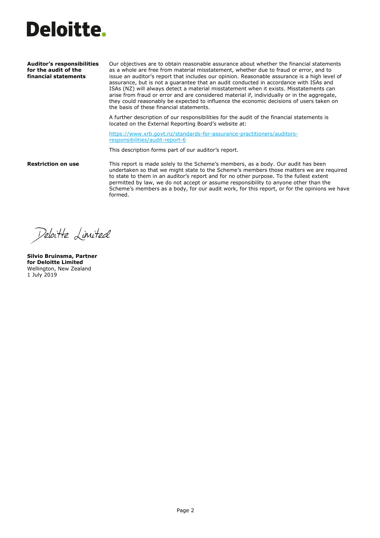

**Auditor's responsibilities for the audit of the financial statements** 

Our objectives are to obtain reasonable assurance about whether the financial statements as a whole are free from material misstatement, whether due to fraud or error, and to issue an auditor's report that includes our opinion. Reasonable assurance is a high level of assurance, but is not a guarantee that an audit conducted in accordance with ISAs and ISAs (NZ) will always detect a material misstatement when it exists. Misstatements can arise from fraud or error and are considered material if, individually or in the aggregate, they could reasonably be expected to influence the economic decisions of users taken on the basis of these financial statements.

A further description of our responsibilities for the audit of the financial statements is located on the External Reporting Board's website at:

[https://www.xrb.govt.nz/standards-for-assurance-practitioners/auditors](https://www.xrb.govt.nz/standards-for-assurance-practitioners/auditors-responsibilities/audit-report-6)[responsibilities/audit-report-6](https://www.xrb.govt.nz/standards-for-assurance-practitioners/auditors-responsibilities/audit-report-6)

This description forms part of our auditor's report.

**Restriction on use** This report is made solely to the Scheme's members, as a body. Our audit has been undertaken so that we might state to the Scheme's members those matters we are required to state to them in an auditor's report and for no other purpose. To the fullest extent permitted by law, we do not accept or assume responsibility to anyone other than the Scheme's members as a body, for our audit work, for this report, or for the opinions we have formed.

Deloitte Limited

**Silvio Bruinsma, Partner for Deloitte Limited** Wellington, New Zealand 1 July 2019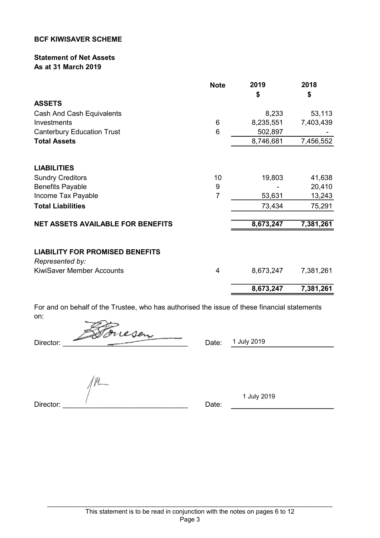## Statement of Net Assets As at 31 March 2019

|                                                           | <b>Note</b> | 2019<br>\$ | 2018<br>\$ |
|-----------------------------------------------------------|-------------|------------|------------|
| <b>ASSETS</b>                                             |             |            |            |
| Cash And Cash Equivalents                                 |             | 8,233      | 53,113     |
| Investments                                               | 6           | 8,235,551  | 7,403,439  |
| <b>Canterbury Education Trust</b>                         | 6           | 502,897    |            |
| <b>Total Assets</b>                                       |             | 8,746,681  | 7,456,552  |
| <b>LIABILITIES</b>                                        |             |            |            |
| <b>Sundry Creditors</b>                                   | 10          | 19,803     | 41,638     |
| <b>Benefits Payable</b>                                   | 9           |            | 20,410     |
| Income Tax Payable                                        | 7           | 53,631     | 13,243     |
| <b>Total Liabilities</b>                                  |             | 73,434     | 75,291     |
| <b>NET ASSETS AVAILABLE FOR BENEFITS</b>                  |             | 8,673,247  | 7,381,261  |
|                                                           |             |            |            |
| <b>LIABILITY FOR PROMISED BENEFITS</b><br>Represented by: |             |            |            |
| <b>KiwiSaver Member Accounts</b>                          | 4           | 8,673,247  | 7,381,261  |
|                                                           |             | 8,673,247  | 7,381,261  |

For and on behalf of the Trustee, who has authorised the issue of these financial statements on:

Director: <del>200</del> Orcesen

/M\_

Date: 1 July 2019

Director: \_\_\_\_\_\_\_\_\_\_\_\_\_\_\_\_\_\_\_\_\_\_\_\_\_\_\_\_\_\_\_\_ Date:

1 July 2019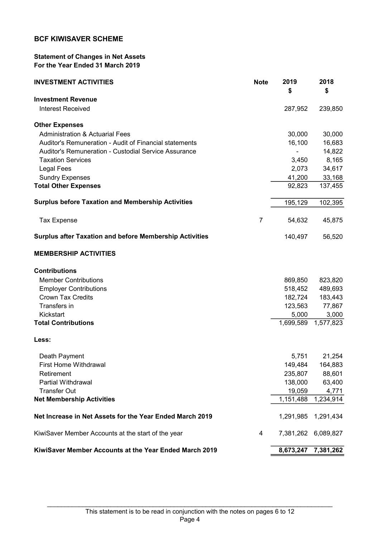## Statement of Changes in Net Assets For the Year Ended 31 March 2019

| <b>INVESTMENT ACTIVITIES</b>                                   | <b>Note</b> | 2019<br>\$ | 2018<br>\$ |
|----------------------------------------------------------------|-------------|------------|------------|
| <b>Investment Revenue</b>                                      |             |            |            |
| <b>Interest Received</b>                                       |             | 287,952    | 239,850    |
| <b>Other Expenses</b>                                          |             |            |            |
| <b>Administration &amp; Actuarial Fees</b>                     |             | 30,000     | 30,000     |
| Auditor's Remuneration - Audit of Financial statements         |             | 16,100     | 16,683     |
| Auditor's Remuneration - Custodial Service Assurance           |             |            | 14,822     |
| <b>Taxation Services</b>                                       |             | 3,450      | 8,165      |
| <b>Legal Fees</b>                                              |             | 2,073      | 34,617     |
| <b>Sundry Expenses</b>                                         |             | 41,200     | 33,168     |
| <b>Total Other Expenses</b>                                    |             | 92,823     | 137,455    |
| <b>Surplus before Taxation and Membership Activities</b>       |             | 195,129    | 102,395    |
| <b>Tax Expense</b>                                             | 7           | 54,632     | 45,875     |
| <b>Surplus after Taxation and before Membership Activities</b> |             | 140,497    | 56,520     |
| <b>MEMBERSHIP ACTIVITIES</b>                                   |             |            |            |
| <b>Contributions</b>                                           |             |            |            |
| <b>Member Contributions</b>                                    |             | 869,850    | 823,820    |
| <b>Employer Contributions</b>                                  |             | 518,452    | 489,693    |
| <b>Crown Tax Credits</b>                                       |             | 182,724    | 183,443    |
| Transfers in                                                   |             | 123,563    | 77,867     |
| Kickstart                                                      |             | 5,000      | 3,000      |
| <b>Total Contributions</b>                                     |             | 1,699,589  | 1,577,823  |
| Less:                                                          |             |            |            |
| Death Payment                                                  |             | 5,751      | 21,254     |
| First Home Withdrawal                                          |             | 149,484    | 164,883    |
| Retirement                                                     |             | 235,807    | 88,601     |
| <b>Partial Withdrawal</b>                                      |             | 138,000    | 63,400     |
| <b>Transfer Out</b>                                            |             | 19,059     | 4,771      |
| <b>Net Membership Activities</b>                               |             | 1,151,488  | 1,234,914  |
| Net Increase in Net Assets for the Year Ended March 2019       |             | 1,291,985  | 1,291,434  |
| KiwiSaver Member Accounts at the start of the year             | 4           | 7,381,262  | 6,089,827  |
| KiwiSaver Member Accounts at the Year Ended March 2019         |             | 8,673,247  | 7,381,262  |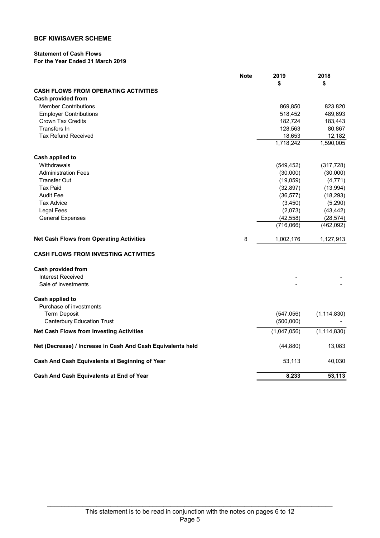## Statement of Cash Flows

## For the Year Ended 31 March 2019

|                                                             | <b>Note</b> | 2019        | 2018          |
|-------------------------------------------------------------|-------------|-------------|---------------|
|                                                             |             | \$          | \$            |
| <b>CASH FLOWS FROM OPERATING ACTIVITIES</b>                 |             |             |               |
| <b>Cash provided from</b>                                   |             |             |               |
| <b>Member Contributions</b>                                 |             | 869,850     | 823,820       |
| <b>Employer Contributions</b>                               |             | 518,452     | 489,693       |
| <b>Crown Tax Credits</b>                                    |             | 182,724     | 183,443       |
| Transfers In                                                |             | 128,563     | 80,867        |
| <b>Tax Refund Received</b>                                  |             | 18,653      | 12,182        |
|                                                             |             | 1,718,242   | 1,590,005     |
| Cash applied to                                             |             |             |               |
| Withdrawals                                                 |             | (549, 452)  | (317, 728)    |
| <b>Administration Fees</b>                                  |             | (30,000)    | (30,000)      |
| <b>Transfer Out</b>                                         |             | (19,059)    | (4, 771)      |
| <b>Tax Paid</b>                                             |             | (32, 897)   | (13,994)      |
| <b>Audit Fee</b>                                            |             | (36, 577)   | (18, 293)     |
| <b>Tax Advice</b>                                           |             | (3, 450)    | (5, 290)      |
| <b>Legal Fees</b>                                           |             | (2,073)     | (43, 442)     |
| <b>General Expenses</b>                                     |             | (42, 558)   | (28, 574)     |
|                                                             |             | (716,066)   | (462,092)     |
| <b>Net Cash Flows from Operating Activities</b>             | 8           | 1,002,176   | 1,127,913     |
| <b>CASH FLOWS FROM INVESTING ACTIVITIES</b>                 |             |             |               |
| <b>Cash provided from</b>                                   |             |             |               |
| <b>Interest Received</b>                                    |             |             |               |
| Sale of investments                                         |             |             |               |
| Cash applied to                                             |             |             |               |
| Purchase of investments                                     |             |             |               |
| <b>Term Deposit</b>                                         |             | (547, 056)  | (1, 114, 830) |
| <b>Canterbury Education Trust</b>                           |             | (500,000)   |               |
| <b>Net Cash Flows from Investing Activities</b>             |             | (1,047,056) | (1, 114, 830) |
| Net (Decrease) / Increase in Cash And Cash Equivalents held |             | (44, 880)   | 13,083        |
| Cash And Cash Equivalents at Beginning of Year              |             | 53,113      | 40,030        |
| Cash And Cash Equivalents at End of Year                    |             | 8,233       | 53,113        |
|                                                             |             |             |               |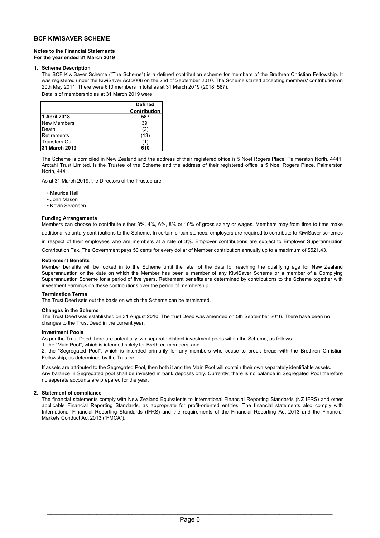#### Notes to the Financial Statements For the year ended 31 March 2019

#### 1. Scheme Description

The BCF KiwiSaver Scheme ("The Scheme") is a defined contribution scheme for members of the Brethren Christian Fellowship. It was registered under the KiwiSaver Act 2006 on the 2nd of September 2010. The Scheme started accepting members' contribution on 20th May 2011. There were 610 members in total as at 31 March 2019 (2018: 587).

Details of membership as at 31 March 2019 were:

|                      | <b>Defined</b>      |
|----------------------|---------------------|
|                      | <b>Contribution</b> |
| 1 April 2018         | 587                 |
| New Members          | 39                  |
| <b>IDeath</b>        | (2)                 |
| <b>Retirements</b>   | (13)                |
| <b>Transfers Out</b> |                     |
| 31 March 2019        | 610                 |

The Scheme is domiciled in New Zealand and the address of their registered office is 5 Noel Rogers Place, Palmerston North, 4441. Arotahi Trust Limited, is the Trustee of the Scheme and the address of their registered office is 5 Noel Rogers Place, Palmerston North, 4441.

As at 31 March 2019, the Directors of the Trustee are:

• Maurice Hall

- John Mason
- Kevin Sorensen

#### Funding Arrangements

Members can choose to contribute either 3%, 4%, 6%, 8% or 10% of gross salary or wages. Members may from time to time make additional voluntary contributions to the Scheme. In certain circumstances, employers are required to contribute to KiwiSaver schemes

in respect of their employees who are members at a rate of 3%. Employer contributions are subject to Employer Superannuation

Contribution Tax. The Government pays 50 cents for every dollar of Member contribution annually up to a maximum of \$521.43.

#### Retirement Benefits

Member benefits will be locked in to the Scheme until the later of the date for reaching the qualifying age for New Zealand Superannuation or the date on which the Member has been a member of any KiwiSaver Scheme or a member of a Complying Superannuation Scheme for a period of five years. Retirement benefits are determined by contributions to the Scheme together with investment earnings on these contributions over the period of membership.

#### Termination Terms

The Trust Deed sets out the basis on which the Scheme can be terminated.

#### Changes in the Scheme

The Trust Deed was established on 31 August 2010. The trust Deed was amended on 5th September 2016. There have been no changes to the Trust Deed in the current year.

#### Investment Pools

As per the Trust Deed there are potentially two separate distinct investment pools within the Scheme, as follows:

1. the "Main Pool", which is intended solely for Brethren members; and

2. the "Segregated Pool", which is intended primarily for any members who cease to break bread with the Brethren Christian Fellowship, as determined by the Trustee.

Any balance in Segregated pool shall be invested in bank deposits only. Currently, there is no balance in Segregated Pool therefore no seperate accounts are prepared for the year. If assets are attributed to the Segregated Pool, then both it and the Main Pool will contain their own separately identifiable assets.

#### 2. Statement of compliance

The financial statements comply with New Zealand Equivalents to International Financial Reporting Standards (NZ IFRS) and other applicable Financial Reporting Standards, as appropriate for profit-oriented entities. The financial statements also comply with International Financial Reporting Standards (IFRS) and the requirements of the Financial Reporting Act 2013 and the Financial Markets Conduct Act 2013 ("FMCA").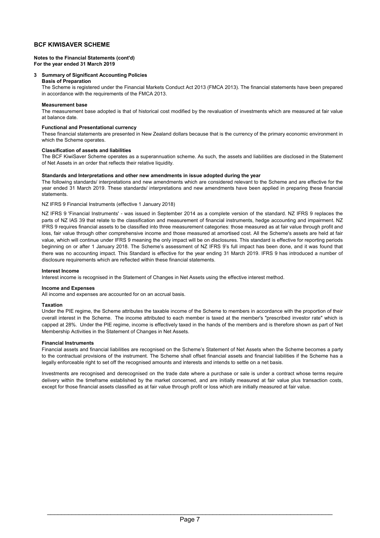#### Notes to the Financial Statements (cont'd) For the year ended 31 March 2019

#### 3 Summary of Significant Accounting Policies

#### Basis of Preparation

The Scheme is registered under the Financial Markets Conduct Act 2013 (FMCA 2013). The financial statements have been prepared in accordance with the requirements of the FMCA 2013.

#### Measurement base

The measurement base adopted is that of historical cost modified by the revaluation of investments which are measured at fair value at balance date.

#### Functional and Presentational currency

These financial statements are presented in New Zealand dollars because that is the currency of the primary economic environment in which the Scheme operates.

#### Classification of assets and liabilities

The BCF KiwiSaver Scheme operates as a superannuation scheme. As such, the assets and liabilities are disclosed in the Statement of Net Assets in an order that reflects their relative liquidity.

#### Standards and Interpretations and other new amendments in issue adopted during the year

The following standards/ interpretations and new amendments which are considered relevant to the Scheme and are effective for the year ended 31 March 2019. These standards/ interpretations and new amendments have been applied in preparing these financial statements.

#### NZ IFRS 9 Financial Instruments (effective 1 January 2018)

NZ IFRS 9 'Financial Instruments' - was issued in September 2014 as a complete version of the standard. NZ IFRS 9 replaces the parts of NZ IAS 39 that relate to the classification and measurement of financial instruments, hedge accounting and impairment. NZ IFRS 9 requires financial assets to be classified into three measurement categories: those measured as at fair value through profit and loss, fair value through other comprehensive income and those measured at amortised cost. All the Scheme's assets are held at fair value, which will continue under IFRS 9 meaning the only impact will be on disclosures. This standard is effective for reporting periods beginning on or after 1 January 2018. The Scheme's assessment of NZ IFRS 9's full impact has been done, and it was found that there was no accounting impact. This Standard is effective for the year ending 31 March 2019. IFRS 9 has introduced a number of disclosure requirements which are reflected within these financial statements.

#### Interest Income

Interest income is recognised in the Statement of Changes in Net Assets using the effective interest method.

#### Income and Expenses

All income and expenses are accounted for on an accrual basis.

#### Taxation

Under the PIE regime, the Scheme attributes the taxable income of the Scheme to members in accordance with the proportion of their overall interest in the Scheme. The income attributed to each member is taxed at the member's "prescribed investor rate" which is capped at 28%. Under the PIE regime, income is effectively taxed in the hands of the members and is therefore shown as part of Net Membership Activities in the Statement of Changes in Net Assets.

#### Financial Instruments

Financial assets and financial liabilities are recognised on the Scheme's Statement of Net Assets when the Scheme becomes a party to the contractual provisions of the instrument. The Scheme shall offset financial assets and financial liabilities if the Scheme has a legally enforceable right to set off the recognised amounts and interests and intends to settle on a net basis.

Investments are recognised and derecognised on the trade date where a purchase or sale is under a contract whose terms require delivery within the timeframe established by the market concerned, and are initially measured at fair value plus transaction costs, except for those financial assets classified as at fair value through profit or loss which are initially measured at fair value.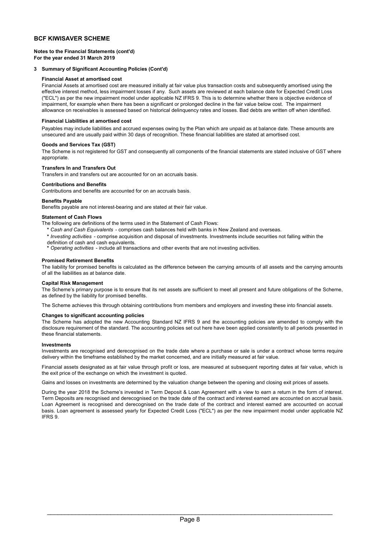Notes to the Financial Statements (cont'd) For the year ended 31 March 2019

#### 3 Summary of Significant Accounting Policies (Cont'd)

#### Financial Asset at amortised cost

Financial Assets at amortised cost are measured initially at fair value plus transaction costs and subsequently amortised using the effective interest method, less impairment losses if any. Such assets are reviewed at each balance date for Expected Credit Loss ("ECL") as per the new impairment model under applicable NZ IFRS 9. This is to determine whether there is objective evidence of impairment, for example when there has been a significant or prolonged decline in the fair value below cost. The impairment allowance on receivables is assessed based on historical delinquency rates and losses. Bad debts are written off when identified.

#### Financial Liabilities at amortised cost

Payables may include liabilities and accrued expenses owing by the Plan which are unpaid as at balance date. These amounts are unsecured and are usually paid within 30 days of recognition. These financial liabilities are stated at amortised cost.

#### Goods and Services Tax (GST)

The Scheme is not registered for GST and consequently all components of the financial statements are stated inclusive of GST where appropriate.

#### Transfers In and Transfers Out

Transfers in and transfers out are accounted for on an accruals basis.

#### Contributions and Benefits

Contributions and benefits are accounted for on an accruals basis.

#### Benefits Payable

Benefits payable are not interest-bearing and are stated at their fair value.

#### Statement of Cash Flows

- The following are definitions of the terms used in the Statement of Cash Flows:
	- \* Cash and Cash Equivalents comprises cash balances held with banks in New Zealand and overseas.
	- \* Investing activities comprise acquisition and disposal of investments. Investments include securities not falling within the definition of cash and cash equivalents.
	- \* Operating activities include all transactions and other events that are not investing activities.

#### Promised Retirement Benefits

The liability for promised benefits is calculated as the difference between the carrying amounts of all assets and the carrying amounts of all the liabilities as at balance date.

#### Capital Risk Management

The Scheme's primary purpose is to ensure that its net assets are sufficient to meet all present and future obligations of the Scheme, as defined by the liability for promised benefits.

The Scheme achieves this through obtaining contributions from members and employers and investing these into financial assets.

#### Changes to significant accounting policies

The Scheme has adopted the new Accounting Standard NZ IFRS 9 and the accounting policies are amended to comply with the disclosure requirement of the standard. The accounting policies set out here have been applied consistently to all periods presented in these financial statements.

#### Investments

Investments are recognised and derecognised on the trade date where a purchase or sale is under a contract whose terms require delivery within the timeframe established by the market concerned, and are initially measured at fair value.

Financial assets designated as at fair value through profit or loss, are measured at subsequent reporting dates at fair value, which is the exit price of the exchange on which the investment is quoted.

Gains and losses on investments are determined by the valuation change between the opening and closing exit prices of assets.

During the year 2018 the Scheme's invested in Term Deposit & Loan Agreement with a view to earn a return in the form of interest. Term Deposits are recognised and derecognised on the trade date of the contract and interest earned are accounted on accrual basis. Loan Agreement is recognised and derecognised on the trade date of the contract and interest earned are accounted on accrual basis. Loan agreement is assessed yearly for Expected Credit Loss ("ECL") as per the new impairment model under applicable NZ IFRS 9.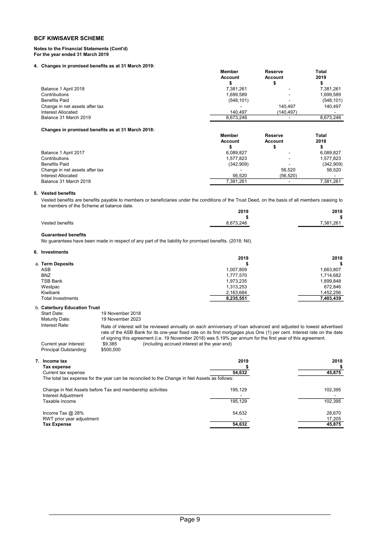#### Notes to the Financial Statements (Cont'd) For the year ended 31 March 2019

#### 4. Changes in promised benefits as at 31 March 2019:

|                                | <b>Member</b><br><b>Account</b> | <b>Reserve</b><br><b>Account</b> | <b>Total</b><br>2019 |
|--------------------------------|---------------------------------|----------------------------------|----------------------|
| Balance 1 April 2018           | 7.381.261                       | -                                | 7,381,261            |
| Contributions                  | 1.699.589                       | $\,$                             | 1,699,589            |
| <b>Benefits Paid</b>           | (548, 101)                      |                                  | (548, 101)           |
| Change in net assets after tax |                                 | 140.497                          | 140.497              |
| Interest Allocated             | 140.497                         | (140.497)                        |                      |
| Balance 31 March 2019          | 8.673.246                       |                                  | 8.673.246            |

#### Changes in promised benefits as at 31 March 2018:

|                                | <b>Member</b>  | <b>Reserve</b>           | Total     |
|--------------------------------|----------------|--------------------------|-----------|
|                                | <b>Account</b> | <b>Account</b>           | 2018      |
|                                |                |                          |           |
| Balance 1 April 2017           | 6,089,827      | $\overline{\phantom{a}}$ | 6.089.827 |
| Contributions                  | 1.577.823      | $\overline{\phantom{a}}$ | 1.577.823 |
| <b>Benefits Paid</b>           | (342,909)      | -                        | (342,909) |
| Change in net assets after tax |                | 56.520                   | 56.520    |
| Interest Allocated             | 56.520         | (56.520)                 |           |
| Balance 31 March 2018          | 7.381.261      |                          | 7.381.261 |

#### 5. Vested benefits

Vested benefits are benefits payable to members or beneficiaries under the conditions of the Trust Deed, on the basis of all members ceasing to be members of the Scheme at balance date.

|                 | 2019      | 2018      |
|-----------------|-----------|-----------|
|                 |           |           |
| Vested benefits | 8.673.246 | 7.381.261 |

#### Guaranteed benefits

No guarantees have been made in respect of any part of the liability for promised benefits. (2018: Nil).

#### 6. Investments

|                          | 2019      | 2018      |
|--------------------------|-----------|-----------|
| a. Term Deposits         |           | S.        |
| <b>ASB</b>               | 1,007,809 | 1,663,807 |
| <b>BNZ</b>               | 1,777,570 | 1,714,682 |
| <b>TSB Bank</b>          | 1,973,235 | 1,899,848 |
| Westpac                  | 1,313,253 | 672.846   |
| Kiwibank                 | 2,163,684 | 1,452,256 |
| <b>Total Investments</b> | 8,235,551 | 7,403,439 |
|                          |           |           |

#### b. Caterbury Education Trust

| Start Date:<br>Maturity Date:                    | 19 November 2018<br>19 November 2023                                                                                                                                                                                                                                                                                                                         |
|--------------------------------------------------|--------------------------------------------------------------------------------------------------------------------------------------------------------------------------------------------------------------------------------------------------------------------------------------------------------------------------------------------------------------|
| Interest Rate:                                   | Rate of interest will be reviewed annually on each anniversary of loan advanced and adjusted to lowest advertised<br>rate of the ASB Bank for its one-year fixed rate on its first mortgages plus One (1) per cent. Interest rate on the date<br>of signing this agreement (i.e. 19 November 2018) was 5.19% per annum for the first year of this agreement. |
| Current year Interest:<br>Principal Outstanding: | (including accrued interest at the year end)<br>\$9.385<br>\$500,000                                                                                                                                                                                                                                                                                         |

| 7. Income tax                                                                                | 2019    | 2018    |
|----------------------------------------------------------------------------------------------|---------|---------|
| Tax expense                                                                                  |         |         |
| Current tax expense                                                                          | 54,632  | 45,875  |
| The total tax expense for the year can be reconciled to the Change in Net Assets as follows: |         |         |
| Change in Net Assets before Tax and membership activities                                    | 195.129 | 102.395 |
| Interest Adjustment                                                                          |         |         |
| Taxable income                                                                               | 195.129 | 102,395 |
| Income Tax $@$ 28%                                                                           | 54.632  | 28.670  |
| RWT prior year adjustment                                                                    |         | 17,205  |
| Tax Expense                                                                                  | 54,632  | 45,875  |
|                                                                                              |         |         |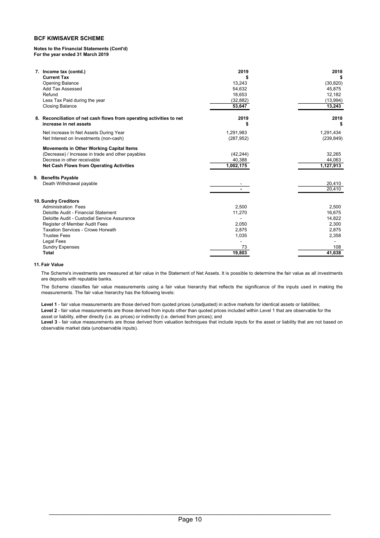#### Notes to the Financial Statements (Cont'd) For the year ended 31 March 2019

| 7. Income tax (contd.)                                               | 2019       | 2018       |
|----------------------------------------------------------------------|------------|------------|
| <b>Current Tax</b>                                                   |            | S          |
| <b>Opening Balance</b>                                               | 13,243     | (30, 820)  |
| Add Tax Assessed                                                     | 54,632     | 45,875     |
| Refund                                                               | 18,653     | 12,182     |
| Less Tax Paid during the year                                        | (32, 882)  | (13,994)   |
| <b>Closing Balance</b>                                               | 53,647     | 13,243     |
| 8. Reconciliation of net cash flows from operating activities to net | 2019       | 2018       |
| increase in net assets                                               |            | S          |
| Net increase In Net Assets During Year                               | 1,291,983  | 1,291,434  |
| Net Interest on Investments (non-cash)                               | (287, 952) | (239, 849) |
| <b>Movements in Other Working Capital Items</b>                      |            |            |
| (Decrease) / Increase in trade and other payables                    | (42, 244)  | 32,265     |
| Decrese in other receivable                                          | 40,388     | 44,063     |
| <b>Net Cash Flows from Operating Activities</b>                      | 1,002,175  | 1,127,913  |
| 9. Benefits Payable                                                  |            |            |
| Death Withdrawal payable                                             |            | 20,410     |
|                                                                      |            | 20.410     |
| 10. Sundry Creditors                                                 |            |            |
| <b>Administration Fees</b>                                           | 2,500      | 2,500      |
| Deloitte Audit - Financial Statement                                 | 11,270     | 16,675     |
| Deloitte Audit - Custodial Service Assurance                         |            | 14,822     |
| Register of Member Audit Fees                                        | 2,050      | 2,300      |
| Taxation Services - Crowe Horwath                                    | 2,875      | 2,875      |
| <b>Trustee Fees</b>                                                  | 1,035      | 2,358      |
| Legal Fees                                                           |            |            |
| <b>Sundry Expenses</b>                                               | 73         | 108        |
| Total                                                                | 19,803     | 41,638     |

#### 11. Fair Value

The Scheme's investments are measured at fair value in the Statement of Net Assets. It is possible to determine the fair value as all investments are deposits with reputable banks.

The Scheme classifies fair value measurements using a fair value hierarchy that reflects the significance of the inputs used in making the measurements. The fair value hierarchy has the following levels:

Level 2 - fair value measurements are those derived from inputs other than quoted prices included within Level 1 that are observable for the Level 1 - fair value measurements are those derived from quoted prices (unadjusted) in active markets for identical assets or liabilities;

asset or liability, either directly (i.e. as prices) or indirectly (i.e. derived from prices); and

Level 3 - fair value measurements are those derived from valuation techniques that include inputs for the asset or liability that are not based on observable market data (unobservable inputs).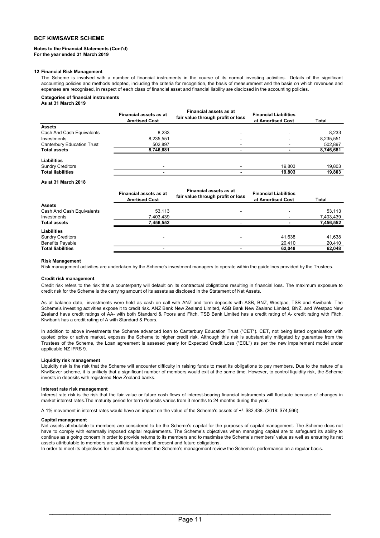#### Notes to the Financial Statements (Cont'd) For the year ended 31 March 2019

#### 12 Financial Risk Management

The Scheme is involved with a number of financial instruments in the course of its normal investing activities. Details of the significant accounting policies and methods adopted, including the criteria for recognition, the basis of measurement and the basis on which revenues and expenses are recognised, in respect of each class of financial asset and financial liability are disclosed in the accounting policies.

#### Categories of financial instruments

As at 31 March 2019

|                            | <b>Financial assets as at</b><br><b>Amrtised Cost</b> | <b>Financial assets as at</b><br>fair value through profit or loss | <b>Financial Liabilities</b><br>at Amortised Cost | Total     |
|----------------------------|-------------------------------------------------------|--------------------------------------------------------------------|---------------------------------------------------|-----------|
| <b>Assets</b>              |                                                       |                                                                    |                                                   |           |
| Cash And Cash Equivalents  | 8.233                                                 | $\overline{\phantom{0}}$                                           | -                                                 | 8.233     |
| Investments                | 8,235,551                                             | $\overline{\phantom{a}}$                                           | -                                                 | 8,235,551 |
| Canterbury Education Trust | 502.897                                               | $\overline{\phantom{a}}$                                           |                                                   | 502,897   |
| <b>Total assets</b>        | 8,746,681                                             |                                                                    |                                                   | 8,746,681 |
| <b>Liabilities</b>         |                                                       |                                                                    |                                                   |           |
| <b>Sundry Creditors</b>    |                                                       |                                                                    | 19,803                                            | 19,803    |
| <b>Total liabilities</b>   | -                                                     | -                                                                  | 19.803                                            | 19,803    |

As at 31 March 2018

| <b>Financial assets as at</b><br><b>Amrtised Cost</b> | <b>Financial assets as at</b><br>fair value through profit or loss | <b>Financial Liabilities</b><br>at Amortised Cost | Total     |
|-------------------------------------------------------|--------------------------------------------------------------------|---------------------------------------------------|-----------|
|                                                       |                                                                    |                                                   |           |
| 53,113                                                |                                                                    |                                                   | 53,113    |
| 7,403,439                                             |                                                                    |                                                   | 7,403,439 |
| 7.456.552                                             |                                                                    |                                                   | 7,456,552 |
|                                                       |                                                                    |                                                   |           |
| -                                                     |                                                                    | 41,638                                            | 41,638    |
|                                                       |                                                                    | 20,410                                            | 20,410    |
|                                                       |                                                                    | 62,048                                            | 62,048    |
|                                                       |                                                                    |                                                   |           |

#### Risk Management

Risk management activities are undertaken by the Scheme's investment managers to operate within the guidelines provided by the Trustees.

#### Credit risk management

Credit risk refers to the risk that a counterparty will default on its contractual obligations resulting in financial loss. The maximum exposure to credit risk for the Scheme is the carrying amount of its assets as disclosed in the Statement of Net Assets.

As at balance date, investments were held as cash on call with ANZ and term deposits with ASB, BNZ, Westpac, TSB and Kiwibank. The Scheme's investing activities expose it to credit risk. ANZ Bank New Zealand Limited, ASB Bank New Zealand Limited, BNZ, and Westpac New Zealand have credit ratings of AA- with both Standard & Poors and Fitch. TSB Bank Limited has a credit rating of A- credit rating with Fitch. Kiwibank has a credit rating of A with Standard & Poors.

In addition to above investments the Scheme advanced loan to Canterbury Education Trust ("CET"). CET, not being listed organisation with quoted price or active market, exposes the Scheme to higher credit risk. Although this risk is substantially mitigated by guarantee from the Trustees of the Scheme, the Loan agreement is assesed yearly for Expected Credit Loss ("ECL") as per the new impairement model under applicable NZ IFRS 9.

#### Liquidity risk management

Liquidity risk is the risk that the Scheme will encounter difficulty in raising funds to meet its obligations to pay members. Due to the nature of a KiwiSaver scheme, it is unlikely that a significant number of members would exit at the same time. However, to control liquidity risk, the Scheme invests in deposits with registered New Zealand banks.

#### Interest rate risk management

Interest rate risk is the risk that the fair value or future cash flows of interest-bearing financial instruments will fluctuate because of changes in market interest rates.The maturity period for term deposits varies from 3 months to 24 months during the year.

A 1% movement in interest rates would have an impact on the value of the Scheme's assets of +/- \$82,438. (2018: \$74,566).

#### Capital management

Net assets attributable to members are considered to be the Scheme's capital for the purposes of capital management. The Scheme does not have to comply with externally imposed capital requirements. The Scheme's objectives when managing capital are to safeguard its ability to continue as a going concern in order to provide returns to its members and to maximise the Scheme's members' value as well as ensuring its net assets attributable to members are sufficient to meet all present and future obligations.

In order to meet its objectives for capital management the Scheme's management review the Scheme's performance on a regular basis.